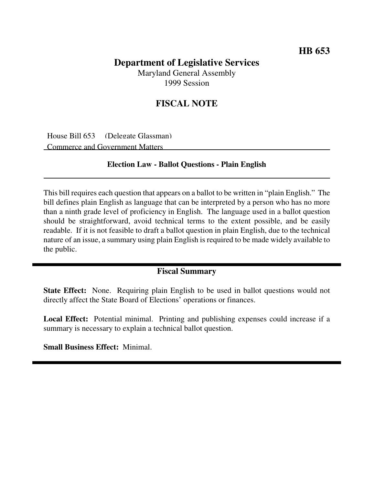## **Department of Legislative Services** Maryland General Assembly

1999 Session

## **FISCAL NOTE**

House Bill 653 (Delegate Glassman) Commerce and Government Matters

## **Election Law - Ballot Questions - Plain English**

This bill requires each question that appears on a ballot to be written in "plain English." The bill defines plain English as language that can be interpreted by a person who has no more than a ninth grade level of proficiency in English. The language used in a ballot question should be straightforward, avoid technical terms to the extent possible, and be easily readable. If it is not feasible to draft a ballot question in plain English, due to the technical nature of an issue, a summary using plain English is required to be made widely available to the public.

## **Fiscal Summary**

**State Effect:** None. Requiring plain English to be used in ballot questions would not directly affect the State Board of Elections' operations or finances.

**Local Effect:** Potential minimal. Printing and publishing expenses could increase if a summary is necessary to explain a technical ballot question.

**Small Business Effect:** Minimal.